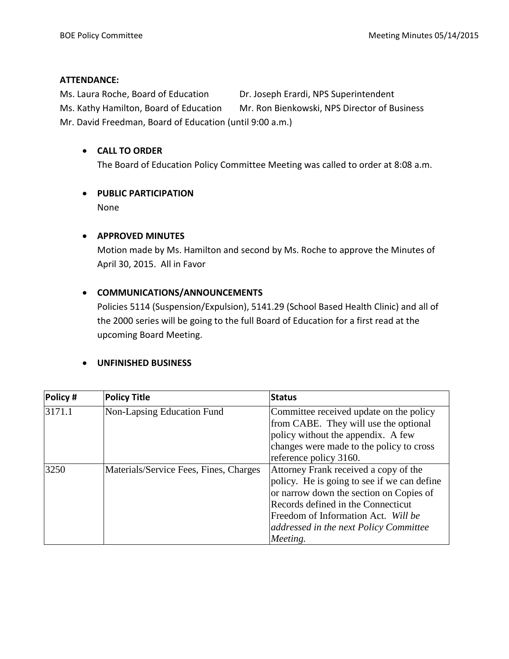#### **ATTENDANCE:**

Ms. Laura Roche, Board of Education Dr. Joseph Erardi, NPS Superintendent Ms. Kathy Hamilton, Board of Education Mr. Ron Bienkowski, NPS Director of Business Mr. David Freedman, Board of Education (until 9:00 a.m.)

#### **CALL TO ORDER**

The Board of Education Policy Committee Meeting was called to order at 8:08 a.m.

### **PUBLIC PARTICIPATION**

None

#### **APPROVED MINUTES**

Motion made by Ms. Hamilton and second by Ms. Roche to approve the Minutes of April 30, 2015. All in Favor

### **COMMUNICATIONS/ANNOUNCEMENTS**

Policies 5114 (Suspension/Expulsion), 5141.29 (School Based Health Clinic) and all of the 2000 series will be going to the full Board of Education for a first read at the upcoming Board Meeting.

#### **UNFINISHED BUSINESS**

| Policy # | <b>Policy Title</b>                    | <b>Status</b>                               |  |
|----------|----------------------------------------|---------------------------------------------|--|
| 3171.1   | Non-Lapsing Education Fund             | Committee received update on the policy     |  |
|          |                                        | from CABE. They will use the optional       |  |
|          |                                        | policy without the appendix. A few          |  |
|          |                                        | changes were made to the policy to cross    |  |
|          |                                        | reference policy 3160.                      |  |
| 3250     | Materials/Service Fees, Fines, Charges | Attorney Frank received a copy of the       |  |
|          |                                        | policy. He is going to see if we can define |  |
|          |                                        | or narrow down the section on Copies of     |  |
|          |                                        | Records defined in the Connecticut          |  |
|          |                                        | Freedom of Information Act. Will be         |  |
|          |                                        | addressed in the next Policy Committee      |  |
|          |                                        | Meeting.                                    |  |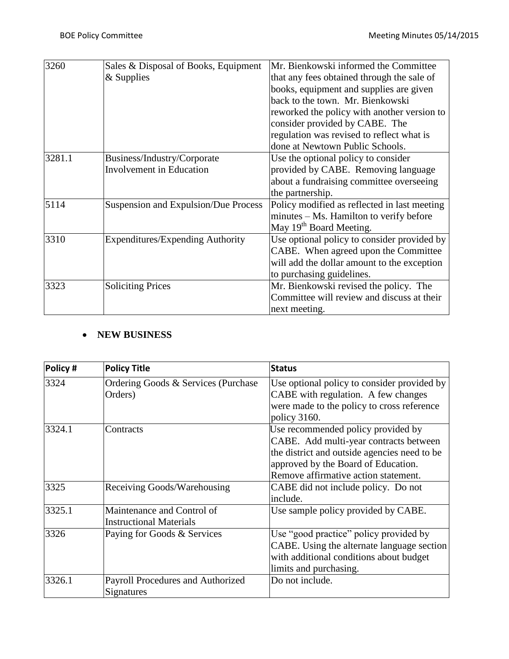| 3260   | Sales & Disposal of Books, Equipment    | Mr. Bienkowski informed the Committee        |
|--------|-----------------------------------------|----------------------------------------------|
|        | $&$ Supplies                            | that any fees obtained through the sale of   |
|        |                                         | books, equipment and supplies are given      |
|        |                                         | back to the town. Mr. Bienkowski             |
|        |                                         | reworked the policy with another version to  |
|        |                                         | consider provided by CABE. The               |
|        |                                         | regulation was revised to reflect what is    |
|        |                                         | done at Newtown Public Schools.              |
| 3281.1 | Business/Industry/Corporate             | Use the optional policy to consider          |
|        | <b>Involvement</b> in Education         | provided by CABE. Removing language          |
|        |                                         | about a fundraising committee overseeing     |
|        |                                         | the partnership.                             |
| 5114   | Suspension and Expulsion/Due Process    | Policy modified as reflected in last meeting |
|        |                                         | minutes – Ms. Hamilton to verify before      |
|        |                                         | May 19 <sup>th</sup> Board Meeting.          |
| 3310   | <b>Expenditures/Expending Authority</b> | Use optional policy to consider provided by  |
|        |                                         | CABE. When agreed upon the Committee         |
|        |                                         | will add the dollar amount to the exception  |
|        |                                         | to purchasing guidelines.                    |
| 3323   | <b>Soliciting Prices</b>                | Mr. Bienkowski revised the policy. The       |
|        |                                         | Committee will review and discuss at their   |
|        |                                         | next meeting.                                |

### **NEW BUSINESS**

| Policy# | <b>Policy Title</b>                                          | <b>Status</b>                                                                                                                                                                                               |
|---------|--------------------------------------------------------------|-------------------------------------------------------------------------------------------------------------------------------------------------------------------------------------------------------------|
| 3324    | Ordering Goods & Services (Purchase)<br>Orders)              | Use optional policy to consider provided by<br>CABE with regulation. A few changes<br>were made to the policy to cross reference<br>policy 3160.                                                            |
| 3324.1  | Contracts                                                    | Use recommended policy provided by<br>CABE. Add multi-year contracts between<br>the district and outside agencies need to be<br>approved by the Board of Education.<br>Remove affirmative action statement. |
| 3325    | Receiving Goods/Warehousing                                  | CABE did not include policy. Do not<br>include.                                                                                                                                                             |
| 3325.1  | Maintenance and Control of<br><b>Instructional Materials</b> | Use sample policy provided by CABE.                                                                                                                                                                         |
| 3326    | Paying for Goods & Services                                  | Use "good practice" policy provided by<br>CABE. Using the alternate language section<br>with additional conditions about budget<br>limits and purchasing.                                                   |
| 3326.1  | Payroll Procedures and Authorized<br>Signatures              | Do not include.                                                                                                                                                                                             |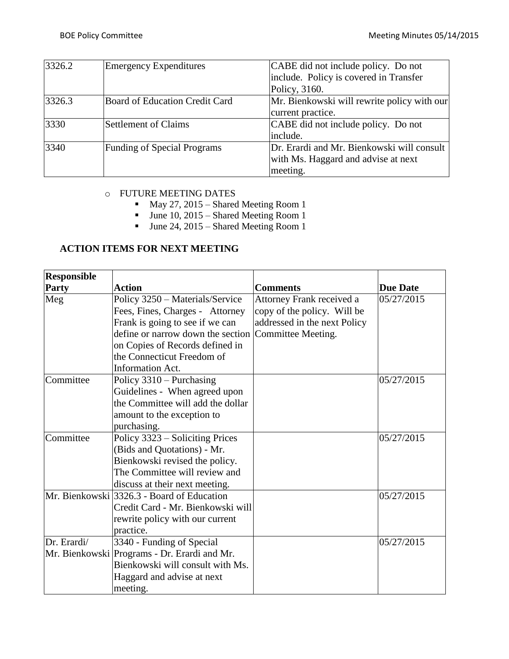| 3326.2 | <b>Emergency Expenditures</b>      | CABE did not include policy. Do not         |
|--------|------------------------------------|---------------------------------------------|
|        |                                    | include. Policy is covered in Transfer      |
|        |                                    | Policy, 3160.                               |
| 3326.3 | Board of Education Credit Card     | Mr. Bienkowski will rewrite policy with our |
|        |                                    | current practice.                           |
| 3330   | <b>Settlement of Claims</b>        | CABE did not include policy. Do not         |
|        |                                    | include.                                    |
| 3340   | <b>Funding of Special Programs</b> | Dr. Erardi and Mr. Bienkowski will consult  |
|        |                                    | with Ms. Haggard and advise at next         |
|        |                                    | meeting.                                    |

### o FUTURE MEETING DATES

- May 27, 2015 Shared Meeting Room 1
- $\blacksquare$  June 10, 2015 Shared Meeting Room 1
- $June 24, 2015 Shared Meeting Room 1$

## **ACTION ITEMS FOR NEXT MEETING**

| <b>Responsible</b> |                                                      |                              |                 |
|--------------------|------------------------------------------------------|------------------------------|-----------------|
| Party              | <b>Action</b>                                        | <b>Comments</b>              | <b>Due Date</b> |
| Meg                | Policy 3250 - Materials/Service                      | Attorney Frank received a    | 05/27/2015      |
|                    | Fees, Fines, Charges - Attorney                      | copy of the policy. Will be  |                 |
|                    | Frank is going to see if we can                      | addressed in the next Policy |                 |
|                    | define or narrow down the section Committee Meeting. |                              |                 |
|                    | on Copies of Records defined in                      |                              |                 |
|                    | the Connecticut Freedom of                           |                              |                 |
|                    | <b>Information Act.</b>                              |                              |                 |
| Committee          | Policy $3310 -$ Purchasing                           |                              | 05/27/2015      |
|                    | Guidelines - When agreed upon                        |                              |                 |
|                    | the Committee will add the dollar                    |                              |                 |
|                    | amount to the exception to                           |                              |                 |
|                    | purchasing.                                          |                              |                 |
| Committee          | Policy 3323 – Soliciting Prices                      |                              | 05/27/2015      |
|                    | (Bids and Quotations) - Mr.                          |                              |                 |
|                    | Bienkowski revised the policy.                       |                              |                 |
|                    | The Committee will review and                        |                              |                 |
|                    | discuss at their next meeting.                       |                              |                 |
|                    | Mr. Bienkowski 3326.3 - Board of Education           |                              | 05/27/2015      |
|                    | Credit Card - Mr. Bienkowski will                    |                              |                 |
|                    | rewrite policy with our current                      |                              |                 |
|                    | practice.                                            |                              |                 |
| Dr. Erardi/        | 3340 - Funding of Special                            |                              | 05/27/2015      |
|                    | Mr. Bienkowski Programs - Dr. Erardi and Mr.         |                              |                 |
|                    | Bienkowski will consult with Ms.                     |                              |                 |
|                    | Haggard and advise at next                           |                              |                 |
|                    | meeting.                                             |                              |                 |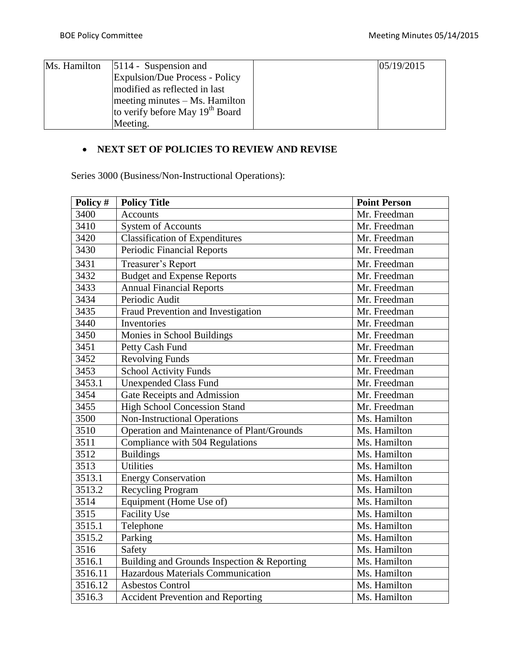| Ms. Hamilton | $ 5114 -$ Suspension and                    | 05/19/2015 |
|--------------|---------------------------------------------|------------|
|              | Expulsion/Due Process - Policy              |            |
|              | modified as reflected in last               |            |
|              | $meeting$ minutes $-Ms$ . Hamilton          |            |
|              | to verify before May 19 <sup>th</sup> Board |            |
|              | Meeting.                                    |            |

# **NEXT SET OF POLICIES TO REVIEW AND REVISE**

Series 3000 (Business/Non-Instructional Operations):

| Policy # | <b>Policy Title</b>                         | <b>Point Person</b> |
|----------|---------------------------------------------|---------------------|
| 3400     | <b>Accounts</b>                             | Mr. Freedman        |
| 3410     | <b>System of Accounts</b>                   | Mr. Freedman        |
| 3420     | <b>Classification of Expenditures</b>       | Mr. Freedman        |
| 3430     | <b>Periodic Financial Reports</b>           | Mr. Freedman        |
| 3431     | Treasurer's Report                          | Mr. Freedman        |
| 3432     | <b>Budget and Expense Reports</b>           | Mr. Freedman        |
| 3433     | <b>Annual Financial Reports</b>             | Mr. Freedman        |
| 3434     | Periodic Audit                              | Mr. Freedman        |
| 3435     | Fraud Prevention and Investigation          | Mr. Freedman        |
| 3440     | Inventories                                 | Mr. Freedman        |
| 3450     | Monies in School Buildings                  | Mr. Freedman        |
| 3451     | Petty Cash Fund                             | Mr. Freedman        |
| 3452     | <b>Revolving Funds</b>                      | Mr. Freedman        |
| 3453     | <b>School Activity Funds</b>                | Mr. Freedman        |
| 3453.1   | <b>Unexpended Class Fund</b>                | Mr. Freedman        |
| 3454     | Gate Receipts and Admission                 | Mr. Freedman        |
| 3455     | <b>High School Concession Stand</b>         | Mr. Freedman        |
| 3500     | <b>Non-Instructional Operations</b>         | Ms. Hamilton        |
| 3510     | Operation and Maintenance of Plant/Grounds  | Ms. Hamilton        |
| 3511     | Compliance with 504 Regulations             | Ms. Hamilton        |
| 3512     | <b>Buildings</b>                            | Ms. Hamilton        |
| 3513     | <b>Utilities</b>                            | Ms. Hamilton        |
| 3513.1   | <b>Energy Conservation</b>                  | Ms. Hamilton        |
| 3513.2   | Recycling Program                           | Ms. Hamilton        |
| 3514     | Equipment (Home Use of)                     | Ms. Hamilton        |
| 3515     | <b>Facility Use</b>                         | Ms. Hamilton        |
| 3515.1   | Telephone                                   | Ms. Hamilton        |
| 3515.2   | Parking                                     | Ms. Hamilton        |
| 3516     | Safety                                      | Ms. Hamilton        |
| 3516.1   | Building and Grounds Inspection & Reporting | Ms. Hamilton        |
| 3516.11  | Hazardous Materials Communication           | Ms. Hamilton        |
| 3516.12  | <b>Asbestos Control</b>                     | Ms. Hamilton        |
| 3516.3   | <b>Accident Prevention and Reporting</b>    | Ms. Hamilton        |